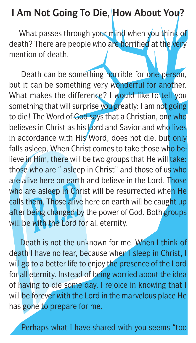## **I Am Not Going To Die, How About You?**

What passes through your mind when you think of death? There are people who are horrified at the very mention of death.

Death can be something horrible for one person, but it can be something very wonderful for another. What makes the difference? I would like to tell you something that will surprise you greatly: I am not going to die! The Word of God says that a Christian, one who believes in Christ as his Lord and Savior and who lives in accordance with His Word, does not die, but only falls asleep. When Christ comes to take those who believe in Him, there will be two groups that He will take: those who are " asleep in Christ" and those of us who are alive here on earth and believe in the Lord. Those who are asleep in Christ will be resurrected when He calls them. Those alive here on earth will be caught up after being changed by the power of God. Both groups will be with the Lord for all eternity.

Death is not the unknown for me. When I think of death I have no fear, because when I sleep in Christ, I will go to a better life to enjoy the presence of the Lord for all eternity. Instead of being worried about the idea of having to die some day, I rejoice in knowing that I will be forever with the Lord in the marvelous place He has gone to prepare for me.

Perhaps what I have shared with you seems "too